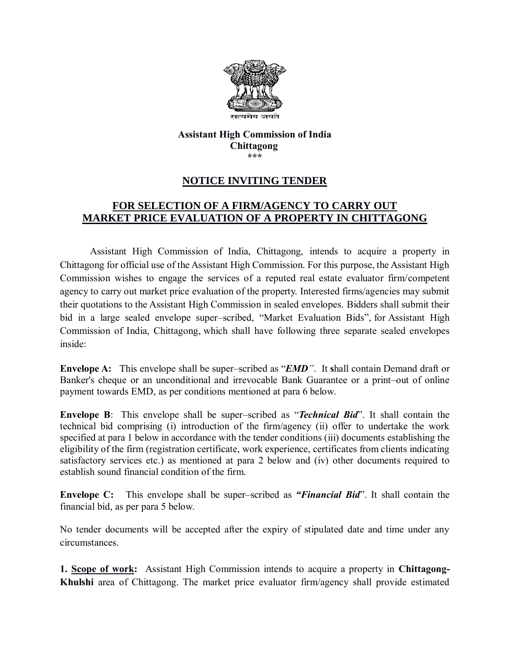

#### **Assistant High Commission of India Chittagong \*\*\***

## **NOTICE INVITING TENDER**

# **FOR SELECTION OF A FIRM/AGENCY TO CARRY OUT MARKET PRICE EVALUATION OF A PROPERTY IN CHITTAGONG**

Assistant High Commission of India, Chittagong, intends to acquire a property in Chittagong for official use of the Assistant High Commission. For this purpose, the Assistant High Commission wishes to engage the services of a reputed real estate evaluator firm/competent agency to carry out market price evaluation of the property. Interested firms/agencies may submit their quotations to the Assistant High Commission in sealed envelopes. Bidders shall submit their bid in a large sealed envelope super–scribed, "Market Evaluation Bids", for Assistant High Commission of India, Chittagong, which shall have following three separate sealed envelopes inside:

**Envelope A:** This envelope shall be super–scribed as "*EMD"*. It **s**hall contain Demand draft or Banker's cheque or an unconditional and irrevocable Bank Guarantee or a print–out of online payment towards EMD, as per conditions mentioned at para 6 below.

**Envelope B**: This envelope shall be super–scribed as "*Technical Bid*". It shall contain the technical bid comprising (i) introduction of the firm/agency (ii) offer to undertake the work specified at para 1 below in accordance with the tender conditions (iii) documents establishing the eligibility of the firm (registration certificate, work experience, certificates from clients indicating satisfactory services etc.) as mentioned at para 2 below and (iv) other documents required to establish sound financial condition of the firm.

**Envelope C:** This envelope shall be super–scribed as *"Financial Bid*". It shall contain the financial bid, as per para 5 below.

No tender documents will be accepted after the expiry of stipulated date and time under any circumstances.

**1. Scope of work:** Assistant High Commission intends to acquire a property in **Chittagong-Khulshi** area of Chittagong. The market price evaluator firm/agency shall provide estimated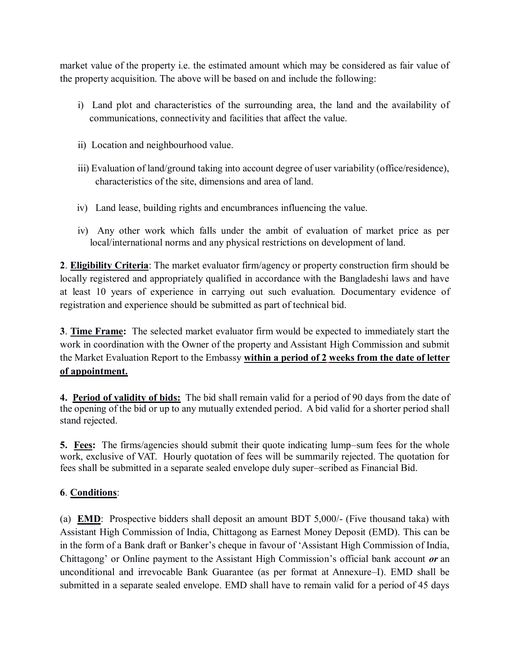market value of the property i.e. the estimated amount which may be considered as fair value of the property acquisition. The above will be based on and include the following:

- i) Land plot and characteristics of the surrounding area, the land and the availability of communications, connectivity and facilities that affect the value.
- ii) Location and neighbourhood value.
- iii) Evaluation of land/ground taking into account degree of user variability (office/residence), characteristics of the site, dimensions and area of land.
- iv) Land lease, building rights and encumbrances influencing the value.
- iv) Any other work which falls under the ambit of evaluation of market price as per local/international norms and any physical restrictions on development of land.

**2**. **Eligibility Criteria**: The market evaluator firm/agency or property construction firm should be locally registered and appropriately qualified in accordance with the Bangladeshi laws and have at least 10 years of experience in carrying out such evaluation. Documentary evidence of registration and experience should be submitted as part of technical bid.

**3**. **Time Frame:** The selected market evaluator firm would be expected to immediately start the work in coordination with the Owner of the property and Assistant High Commission and submit the Market Evaluation Report to the Embassy **within a period of 2 weeks from the date of letter of appointment.** 

**4. Period of validity of bids:** The bid shall remain valid for a period of 90 days from the date of the opening of the bid or up to any mutually extended period. A bid valid for a shorter period shall stand rejected.

**5. Fees:** The firms/agencies should submit their quote indicating lump–sum fees for the whole work, exclusive of VAT. Hourly quotation of fees will be summarily rejected. The quotation for fees shall be submitted in a separate sealed envelope duly super–scribed as Financial Bid.

### **6**. **Conditions**:

(a) **EMD**: Prospective bidders shall deposit an amount BDT 5,000/- (Five thousand taka) with Assistant High Commission of India, Chittagong as Earnest Money Deposit (EMD). This can be in the form of a Bank draft or Banker's cheque in favour of 'Assistant High Commission of India, Chittagong' or Online payment to the Assistant High Commission's official bank account *or* an unconditional and irrevocable Bank Guarantee (as per format at Annexure–I). EMD shall be submitted in a separate sealed envelope. EMD shall have to remain valid for a period of 45 days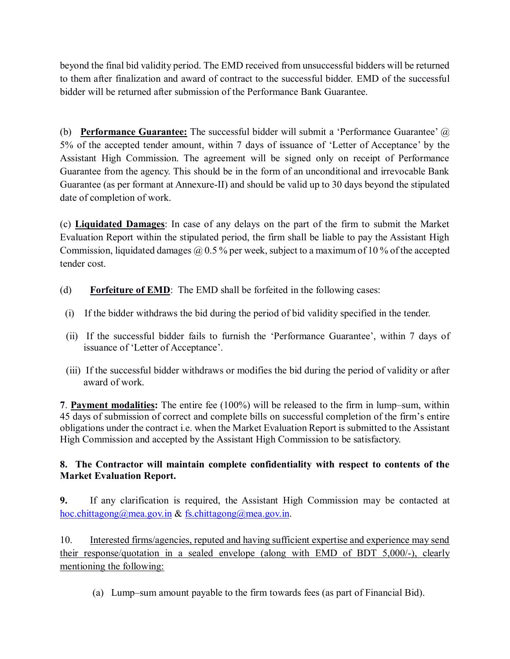beyond the final bid validity period. The EMD received from unsuccessful bidders will be returned to them after finalization and award of contract to the successful bidder. EMD of the successful bidder will be returned after submission of the Performance Bank Guarantee.

(b) **Performance Guarantee:** The successful bidder will submit a 'Performance Guarantee' @ 5% of the accepted tender amount, within 7 days of issuance of 'Letter of Acceptance' by the Assistant High Commission. The agreement will be signed only on receipt of Performance Guarantee from the agency. This should be in the form of an unconditional and irrevocable Bank Guarantee (as per formant at Annexure-II) and should be valid up to 30 days beyond the stipulated date of completion of work.

(c) **Liquidated Damages**: In case of any delays on the part of the firm to submit the Market Evaluation Report within the stipulated period, the firm shall be liable to pay the Assistant High Commission, liquidated damages  $\omega$  0.5 % per week, subject to a maximum of 10 % of the accepted tender cost.

- (d) **Forfeiture of EMD**: The EMD shall be forfeited in the following cases:
- (i) If the bidder withdraws the bid during the period of bid validity specified in the tender.
- (ii) If the successful bidder fails to furnish the 'Performance Guarantee', within 7 days of issuance of 'Letter of Acceptance'.
- (iii) If the successful bidder withdraws or modifies the bid during the period of validity or after award of work.

**7**. **Payment modalities:** The entire fee (100%) will be released to the firm in lump–sum, within 45 days of submission of correct and complete bills on successful completion of the firm's entire obligations under the contract i.e. when the Market Evaluation Report is submitted to the Assistant High Commission and accepted by the Assistant High Commission to be satisfactory.

### **8. The Contractor will maintain complete confidentiality with respect to contents of the Market Evaluation Report.**

**9.** If any clarification is required, the Assistant High Commission may be contacted at [hoc.chittagong@mea.gov.in](mailto:hoc.chittagong@mea.gov.in) & fs.chittagong@mea.gov.in.

10. Interested firms/agencies, reputed and having sufficient expertise and experience may send their response/quotation in a sealed envelope (along with EMD of BDT 5,000/-), clearly mentioning the following:

(a) Lump–sum amount payable to the firm towards fees (as part of Financial Bid).